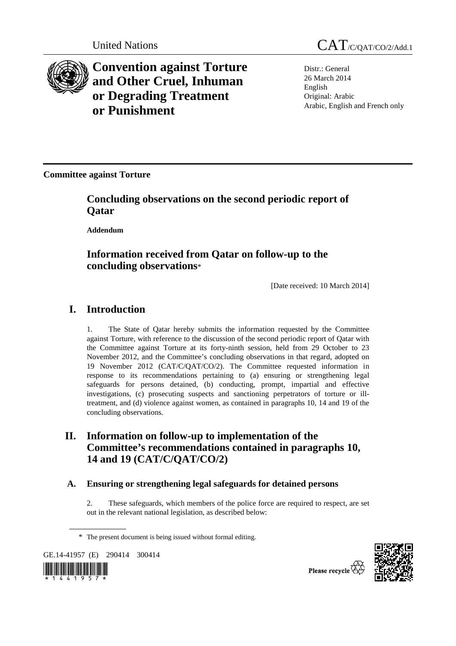

**Convention against Torture and Other Cruel, Inhuman or Degrading Treatment or Punishment**



Distr.: General 26 March 2014 English Original: Arabic Arabic, English and French only

**Committee against Torture** 

 **Concluding observations on the second periodic report of Qatar** 

 **Addendum** 

# **Information received from Qatar on follow-up to the concluding observations**\*

[Date received: 10 March 2014]

# **I. Introduction**

1. The State of Qatar hereby submits the information requested by the Committee against Torture, with reference to the discussion of the second periodic report of Qatar with the Committee against Torture at its forty-ninth session, held from 29 October to 23 November 2012, and the Committee's concluding observations in that regard, adopted on 19 November 2012 (CAT/C/QAT/CO/2). The Committee requested information in response to its recommendations pertaining to (a) ensuring or strengthening legal safeguards for persons detained, (b) conducting, prompt, impartial and effective investigations, (c) prosecuting suspects and sanctioning perpetrators of torture or illtreatment, and (d) violence against women, as contained in paragraphs 10, 14 and 19 of the concluding observations.

# **II. Information on follow-up to implementation of the Committee's recommendations contained in paragraphs 10, 14 and 19 (CAT/C/QAT/CO/2)**

# **A. Ensuring or strengthening legal safeguards for detained persons**

2. These safeguards, which members of the police force are required to respect, are set out in the relevant national legislation, as described below:

GE.14-41957 (E) 290414 300414





Please recycle

<sup>\*</sup> The present document is being issued without formal editing.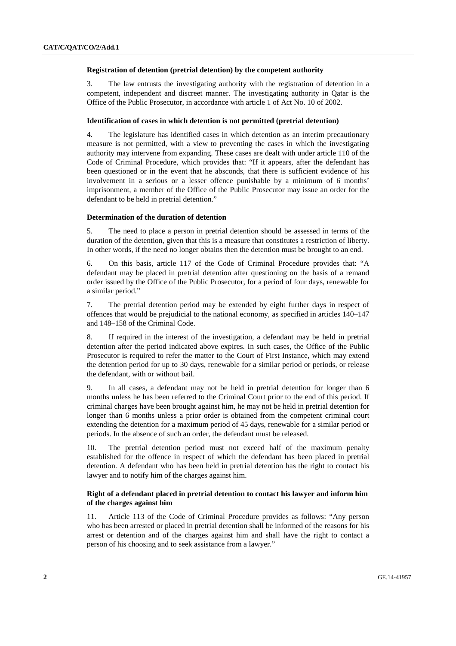#### **Registration of detention (pretrial detention) by the competent authority**

3. The law entrusts the investigating authority with the registration of detention in a competent, independent and discreet manner. The investigating authority in Qatar is the Office of the Public Prosecutor, in accordance with article 1 of Act No. 10 of 2002.

#### **Identification of cases in which detention is not permitted (pretrial detention)**

4. The legislature has identified cases in which detention as an interim precautionary measure is not permitted, with a view to preventing the cases in which the investigating authority may intervene from expanding. These cases are dealt with under article 110 of the Code of Criminal Procedure, which provides that: "If it appears, after the defendant has been questioned or in the event that he absconds, that there is sufficient evidence of his involvement in a serious or a lesser offence punishable by a minimum of 6 months' imprisonment, a member of the Office of the Public Prosecutor may issue an order for the defendant to be held in pretrial detention."

#### **Determination of the duration of detention**

5. The need to place a person in pretrial detention should be assessed in terms of the duration of the detention, given that this is a measure that constitutes a restriction of liberty. In other words, if the need no longer obtains then the detention must be brought to an end.

6. On this basis, article 117 of the Code of Criminal Procedure provides that: "A defendant may be placed in pretrial detention after questioning on the basis of a remand order issued by the Office of the Public Prosecutor, for a period of four days, renewable for a similar period."

7. The pretrial detention period may be extended by eight further days in respect of offences that would be prejudicial to the national economy, as specified in articles 140–147 and 148–158 of the Criminal Code.

8. If required in the interest of the investigation, a defendant may be held in pretrial detention after the period indicated above expires. In such cases, the Office of the Public Prosecutor is required to refer the matter to the Court of First Instance, which may extend the detention period for up to 30 days, renewable for a similar period or periods, or release the defendant, with or without bail.

9. In all cases, a defendant may not be held in pretrial detention for longer than 6 months unless he has been referred to the Criminal Court prior to the end of this period. If criminal charges have been brought against him, he may not be held in pretrial detention for longer than 6 months unless a prior order is obtained from the competent criminal court extending the detention for a maximum period of 45 days, renewable for a similar period or periods. In the absence of such an order, the defendant must be released.

10. The pretrial detention period must not exceed half of the maximum penalty established for the offence in respect of which the defendant has been placed in pretrial detention. A defendant who has been held in pretrial detention has the right to contact his lawyer and to notify him of the charges against him.

#### **Right of a defendant placed in pretrial detention to contact his lawyer and inform him of the charges against him**

11. Article 113 of the Code of Criminal Procedure provides as follows: "Any person who has been arrested or placed in pretrial detention shall be informed of the reasons for his arrest or detention and of the charges against him and shall have the right to contact a person of his choosing and to seek assistance from a lawyer."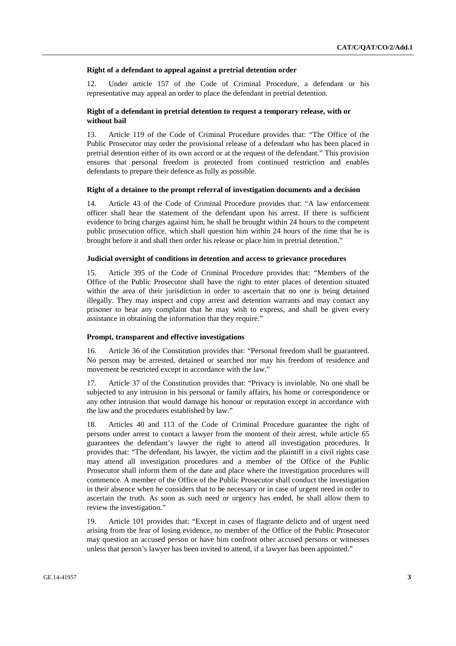#### **Right of a defendant to appeal against a pretrial detention order**

12. Under article 157 of the Code of Criminal Procedure, a defendant or his representative may appeal an order to place the defendant in pretrial detention.

#### **Right of a defendant in pretrial detention to request a temporary release, with or without bail**

13. Article 119 of the Code of Criminal Procedure provides that: "The Office of the Public Prosecutor may order the provisional release of a defendant who has been placed in pretrial detention either of its own accord or at the request of the defendant." This provision ensures that personal freedom is protected from continued restriction and enables defendants to prepare their defence as fully as possible.

#### **Right of a detainee to the prompt referral of investigation documents and a decision**

14. Article 43 of the Code of Criminal Procedure provides that: "A law enforcement officer shall hear the statement of the defendant upon his arrest. If there is sufficient evidence to bring charges against him, he shall be brought within 24 hours to the competent public prosecution office, which shall question him within 24 hours of the time that he is brought before it and shall then order his release or place him in pretrial detention."

#### **Judicial oversight of conditions in detention and access to grievance procedures**

15. Article 395 of the Code of Criminal Procedure provides that: "Members of the Office of the Public Prosecutor shall have the right to enter places of detention situated within the area of their jurisdiction in order to ascertain that no one is being detained illegally. They may inspect and copy arrest and detention warrants and may contact any prisoner to hear any complaint that he may wish to express, and shall be given every assistance in obtaining the information that they require."

#### **Prompt, transparent and effective investigations**

16. Article 36 of the Constitution provides that: "Personal freedom shall be guaranteed. No person may be arrested, detained or searched nor may his freedom of residence and movement be restricted except in accordance with the law."

17. Article 37 of the Constitution provides that: "Privacy is inviolable. No one shall be subjected to any intrusion in his personal or family affairs, his home or correspondence or any other intrusion that would damage his honour or reputation except in accordance with the law and the procedures established by law."

18. Articles 40 and 113 of the Code of Criminal Procedure guarantee the right of persons under arrest to contact a lawyer from the moment of their arrest, while article 65 guarantees the defendant's lawyer the right to attend all investigation procedures. It provides that: "The defendant, his lawyer, the victim and the plaintiff in a civil rights case may attend all investigation procedures and a member of the Office of the Public Prosecutor shall inform them of the date and place where the investigation procedures will commence. A member of the Office of the Public Prosecutor shall conduct the investigation in their absence when he considers that to be necessary or in case of urgent need in order to ascertain the truth. As soon as such need or urgency has ended, he shall allow them to review the investigation."

19. Article 101 provides that: "Except in cases of flagrante delicto and of urgent need arising from the fear of losing evidence, no member of the Office of the Public Prosecutor may question an accused person or have him confront other accused persons or witnesses unless that person's lawyer has been invited to attend, if a lawyer has been appointed."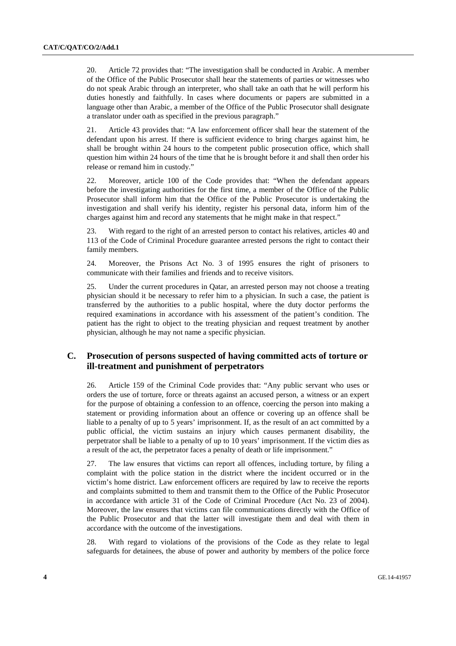20. Article 72 provides that: "The investigation shall be conducted in Arabic. A member of the Office of the Public Prosecutor shall hear the statements of parties or witnesses who do not speak Arabic through an interpreter, who shall take an oath that he will perform his duties honestly and faithfully. In cases where documents or papers are submitted in a language other than Arabic, a member of the Office of the Public Prosecutor shall designate a translator under oath as specified in the previous paragraph."

21. Article 43 provides that: "A law enforcement officer shall hear the statement of the defendant upon his arrest. If there is sufficient evidence to bring charges against him, he shall be brought within 24 hours to the competent public prosecution office, which shall question him within 24 hours of the time that he is brought before it and shall then order his release or remand him in custody."

22. Moreover, article 100 of the Code provides that: "When the defendant appears before the investigating authorities for the first time, a member of the Office of the Public Prosecutor shall inform him that the Office of the Public Prosecutor is undertaking the investigation and shall verify his identity, register his personal data, inform him of the charges against him and record any statements that he might make in that respect."

23. With regard to the right of an arrested person to contact his relatives, articles 40 and 113 of the Code of Criminal Procedure guarantee arrested persons the right to contact their family members.

24. Moreover, the Prisons Act No. 3 of 1995 ensures the right of prisoners to communicate with their families and friends and to receive visitors.

25. Under the current procedures in Qatar, an arrested person may not choose a treating physician should it be necessary to refer him to a physician. In such a case, the patient is transferred by the authorities to a public hospital, where the duty doctor performs the required examinations in accordance with his assessment of the patient's condition. The patient has the right to object to the treating physician and request treatment by another physician, although he may not name a specific physician.

## **C. Prosecution of persons suspected of having committed acts of torture or ill-treatment and punishment of perpetrators**

26. Article 159 of the Criminal Code provides that: "Any public servant who uses or orders the use of torture, force or threats against an accused person, a witness or an expert for the purpose of obtaining a confession to an offence, coercing the person into making a statement or providing information about an offence or covering up an offence shall be liable to a penalty of up to 5 years' imprisonment. If, as the result of an act committed by a public official, the victim sustains an injury which causes permanent disability, the perpetrator shall be liable to a penalty of up to 10 years' imprisonment. If the victim dies as a result of the act, the perpetrator faces a penalty of death or life imprisonment."

27. The law ensures that victims can report all offences, including torture, by filing a complaint with the police station in the district where the incident occurred or in the victim's home district. Law enforcement officers are required by law to receive the reports and complaints submitted to them and transmit them to the Office of the Public Prosecutor in accordance with article 31 of the Code of Criminal Procedure (Act No. 23 of 2004). Moreover, the law ensures that victims can file communications directly with the Office of the Public Prosecutor and that the latter will investigate them and deal with them in accordance with the outcome of the investigations.

28. With regard to violations of the provisions of the Code as they relate to legal safeguards for detainees, the abuse of power and authority by members of the police force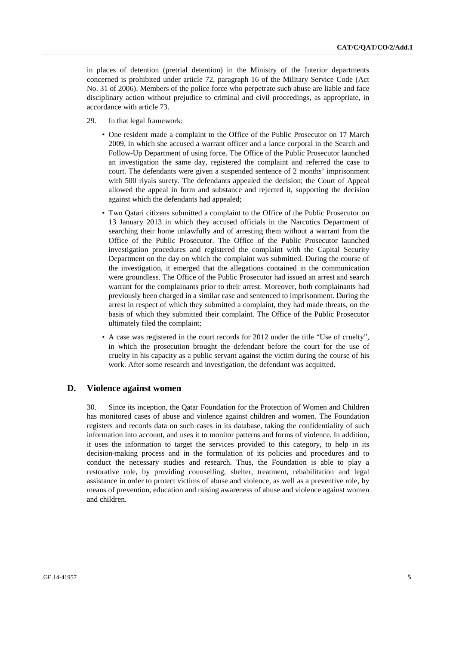in places of detention (pretrial detention) in the Ministry of the Interior departments concerned is prohibited under article 72, paragraph 16 of the Military Service Code (Act No. 31 of 2006). Members of the police force who perpetrate such abuse are liable and face disciplinary action without prejudice to criminal and civil proceedings, as appropriate, in accordance with article 73.

- 29. In that legal framework:
	- One resident made a complaint to the Office of the Public Prosecutor on 17 March 2009, in which she accused a warrant officer and a lance corporal in the Search and Follow-Up Department of using force. The Office of the Public Prosecutor launched an investigation the same day, registered the complaint and referred the case to court. The defendants were given a suspended sentence of 2 months' imprisonment with 500 riyals surety. The defendants appealed the decision; the Court of Appeal allowed the appeal in form and substance and rejected it, supporting the decision against which the defendants had appealed;
	- Two Qatari citizens submitted a complaint to the Office of the Public Prosecutor on 13 January 2013 in which they accused officials in the Narcotics Department of searching their home unlawfully and of arresting them without a warrant from the Office of the Public Prosecutor. The Office of the Public Prosecutor launched investigation procedures and registered the complaint with the Capital Security Department on the day on which the complaint was submitted. During the course of the investigation, it emerged that the allegations contained in the communication were groundless. The Office of the Public Prosecutor had issued an arrest and search warrant for the complainants prior to their arrest. Moreover, both complainants had previously been charged in a similar case and sentenced to imprisonment. During the arrest in respect of which they submitted a complaint, they had made threats, on the basis of which they submitted their complaint. The Office of the Public Prosecutor ultimately filed the complaint;
	- A case was registered in the court records for 2012 under the title "Use of cruelty", in which the prosecution brought the defendant before the court for the use of cruelty in his capacity as a public servant against the victim during the course of his work. After some research and investigation, the defendant was acquitted.

### **D. Violence against women**

30. Since its inception, the Qatar Foundation for the Protection of Women and Children has monitored cases of abuse and violence against children and women. The Foundation registers and records data on such cases in its database, taking the confidentiality of such information into account, and uses it to monitor patterns and forms of violence. In addition, it uses the information to target the services provided to this category, to help in its decision-making process and in the formulation of its policies and procedures and to conduct the necessary studies and research. Thus, the Foundation is able to play a restorative role, by providing counselling, shelter, treatment, rehabilitation and legal assistance in order to protect victims of abuse and violence, as well as a preventive role, by means of prevention, education and raising awareness of abuse and violence against women and children.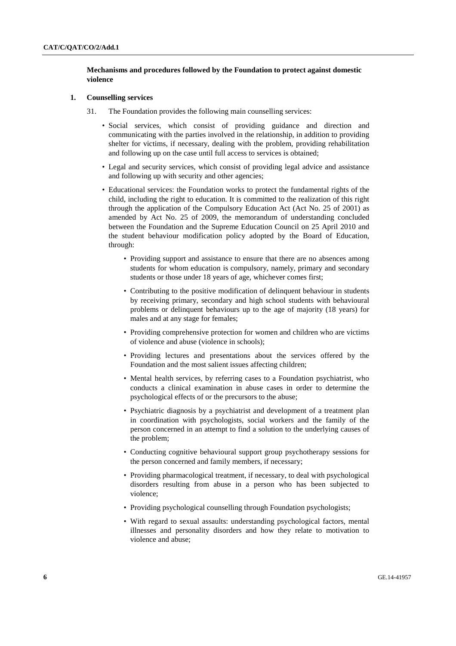#### **Mechanisms and procedures followed by the Foundation to protect against domestic violence**

#### **1. Counselling services**

- 31. The Foundation provides the following main counselling services:
	- Social services, which consist of providing guidance and direction and communicating with the parties involved in the relationship, in addition to providing shelter for victims, if necessary, dealing with the problem, providing rehabilitation and following up on the case until full access to services is obtained;
	- Legal and security services, which consist of providing legal advice and assistance and following up with security and other agencies;
	- Educational services: the Foundation works to protect the fundamental rights of the child, including the right to education. It is committed to the realization of this right through the application of the Compulsory Education Act (Act No. 25 of 2001) as amended by Act No. 25 of 2009, the memorandum of understanding concluded between the Foundation and the Supreme Education Council on 25 April 2010 and the student behaviour modification policy adopted by the Board of Education, through:
		- Providing support and assistance to ensure that there are no absences among students for whom education is compulsory, namely, primary and secondary students or those under 18 years of age, whichever comes first;
		- Contributing to the positive modification of delinquent behaviour in students by receiving primary, secondary and high school students with behavioural problems or delinquent behaviours up to the age of majority (18 years) for males and at any stage for females;
		- Providing comprehensive protection for women and children who are victims of violence and abuse (violence in schools);
		- Providing lectures and presentations about the services offered by the Foundation and the most salient issues affecting children;
		- Mental health services, by referring cases to a Foundation psychiatrist, who conducts a clinical examination in abuse cases in order to determine the psychological effects of or the precursors to the abuse;
		- Psychiatric diagnosis by a psychiatrist and development of a treatment plan in coordination with psychologists, social workers and the family of the person concerned in an attempt to find a solution to the underlying causes of the problem;
		- Conducting cognitive behavioural support group psychotherapy sessions for the person concerned and family members, if necessary;
		- Providing pharmacological treatment, if necessary, to deal with psychological disorders resulting from abuse in a person who has been subjected to violence;
		- Providing psychological counselling through Foundation psychologists;
		- With regard to sexual assaults: understanding psychological factors, mental illnesses and personality disorders and how they relate to motivation to violence and abuse;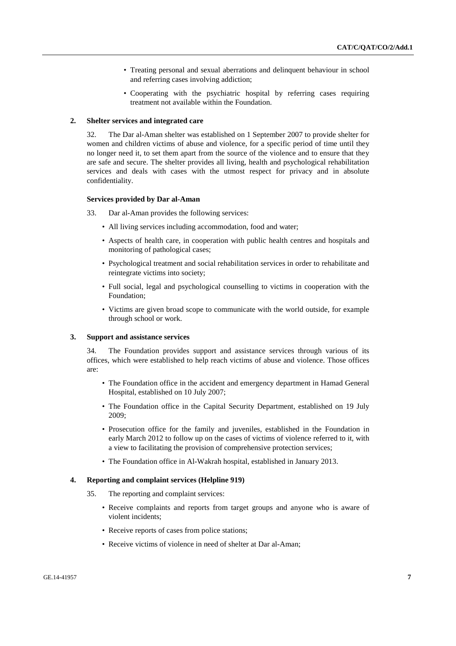- Treating personal and sexual aberrations and delinquent behaviour in school and referring cases involving addiction;
- Cooperating with the psychiatric hospital by referring cases requiring treatment not available within the Foundation.

#### **2. Shelter services and integrated care**

32. The Dar al-Aman shelter was established on 1 September 2007 to provide shelter for women and children victims of abuse and violence, for a specific period of time until they no longer need it, to set them apart from the source of the violence and to ensure that they are safe and secure. The shelter provides all living, health and psychological rehabilitation services and deals with cases with the utmost respect for privacy and in absolute confidentiality.

#### **Services provided by Dar al-Aman**

- 33. Dar al-Aman provides the following services:
	- All living services including accommodation, food and water;
	- Aspects of health care, in cooperation with public health centres and hospitals and monitoring of pathological cases;
	- Psychological treatment and social rehabilitation services in order to rehabilitate and reintegrate victims into society;
	- Full social, legal and psychological counselling to victims in cooperation with the Foundation;
	- Victims are given broad scope to communicate with the world outside, for example through school or work.

#### **3. Support and assistance services**

34. The Foundation provides support and assistance services through various of its offices, which were established to help reach victims of abuse and violence. Those offices are:

- The Foundation office in the accident and emergency department in Hamad General Hospital, established on 10 July 2007;
- The Foundation office in the Capital Security Department, established on 19 July 2009;
- Prosecution office for the family and juveniles, established in the Foundation in early March 2012 to follow up on the cases of victims of violence referred to it, with a view to facilitating the provision of comprehensive protection services;
- The Foundation office in Al-Wakrah hospital, established in January 2013.

#### **4. Reporting and complaint services (Helpline 919)**

- 35. The reporting and complaint services:
	- Receive complaints and reports from target groups and anyone who is aware of violent incidents;
	- Receive reports of cases from police stations;
	- Receive victims of violence in need of shelter at Dar al-Aman;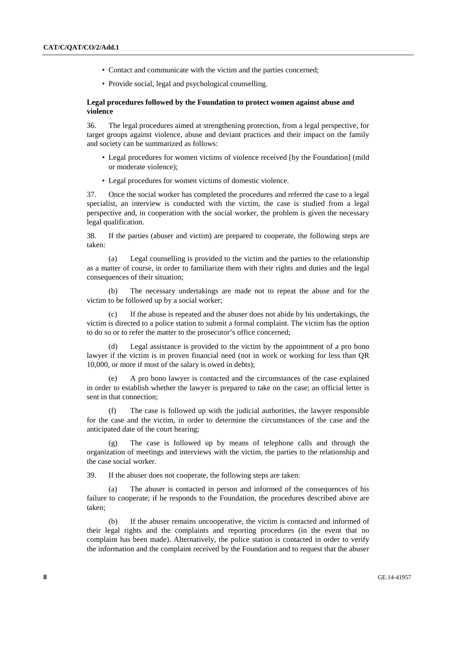- Contact and communicate with the victim and the parties concerned;
- Provide social, legal and psychological counselling.

#### **Legal procedures followed by the Foundation to protect women against abuse and violence**

36. The legal procedures aimed at strengthening protection, from a legal perspective, for target groups against violence, abuse and deviant practices and their impact on the family and society can be summarized as follows:

- Legal procedures for women victims of violence received [by the Foundation] (mild or moderate violence);
- Legal procedures for women victims of domestic violence.

37. Once the social worker has completed the procedures and referred the case to a legal specialist, an interview is conducted with the victim, the case is studied from a legal perspective and, in cooperation with the social worker, the problem is given the necessary legal qualification.

38. If the parties (abuser and victim) are prepared to cooperate, the following steps are taken:

 (a) Legal counselling is provided to the victim and the parties to the relationship as a matter of course, in order to familiarize them with their rights and duties and the legal consequences of their situation;

 (b) The necessary undertakings are made not to repeat the abuse and for the victim to be followed up by a social worker;

 (c) If the abuse is repeated and the abuser does not abide by his undertakings, the victim is directed to a police station to submit a formal complaint. The victim has the option to do so or to refer the matter to the prosecutor's office concerned;

 (d) Legal assistance is provided to the victim by the appointment of a pro bono lawyer if the victim is in proven financial need (not in work or working for less than QR 10,000, or more if most of the salary is owed in debts);

A pro bono lawyer is contacted and the circumstances of the case explained in order to establish whether the lawyer is prepared to take on the case; an official letter is sent in that connection;

 (f) The case is followed up with the judicial authorities, the lawyer responsible for the case and the victim, in order to determine the circumstances of the case and the anticipated date of the court hearing;

 (g) The case is followed up by means of telephone calls and through the organization of meetings and interviews with the victim, the parties to the relationship and the case social worker.

39. If the abuser does not cooperate, the following steps are taken:

 (a) The abuser is contacted in person and informed of the consequences of his failure to cooperate; if he responds to the Foundation, the procedures described above are taken;

 (b) If the abuser remains uncooperative, the victim is contacted and informed of their legal rights and the complaints and reporting procedures (in the event that no complaint has been made). Alternatively, the police station is contacted in order to verify the information and the complaint received by the Foundation and to request that the abuser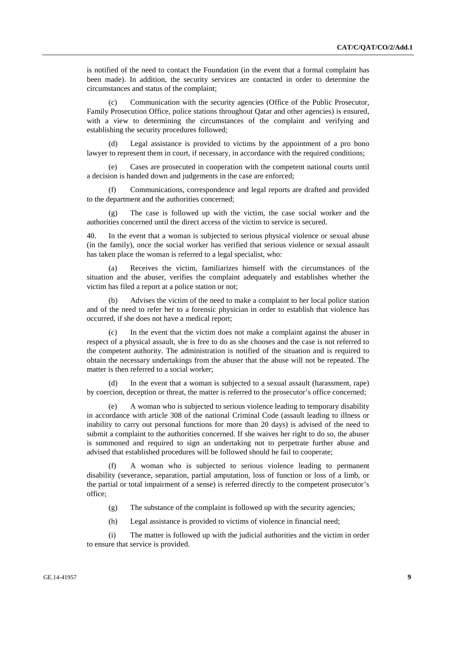is notified of the need to contact the Foundation (in the event that a formal complaint has been made). In addition, the security services are contacted in order to determine the circumstances and status of the complaint;

 (c) Communication with the security agencies (Office of the Public Prosecutor, Family Prosecution Office, police stations throughout Qatar and other agencies) is ensured, with a view to determining the circumstances of the complaint and verifying and establishing the security procedures followed;

 (d) Legal assistance is provided to victims by the appointment of a pro bono lawyer to represent them in court, if necessary, in accordance with the required conditions;

 (e) Cases are prosecuted in cooperation with the competent national courts until a decision is handed down and judgements in the case are enforced;

 (f) Communications, correspondence and legal reports are drafted and provided to the department and the authorities concerned;

 (g) The case is followed up with the victim, the case social worker and the authorities concerned until the direct access of the victim to service is secured.

40. In the event that a woman is subjected to serious physical violence or sexual abuse (in the family), once the social worker has verified that serious violence or sexual assault has taken place the woman is referred to a legal specialist, who:

 (a) Receives the victim, familiarizes himself with the circumstances of the situation and the abuser, verifies the complaint adequately and establishes whether the victim has filed a report at a police station or not;

Advises the victim of the need to make a complaint to her local police station and of the need to refer her to a forensic physician in order to establish that violence has occurred, if she does not have a medical report;

 (c) In the event that the victim does not make a complaint against the abuser in respect of a physical assault, she is free to do as she chooses and the case is not referred to the competent authority. The administration is notified of the situation and is required to obtain the necessary undertakings from the abuser that the abuse will not be repeated. The matter is then referred to a social worker;

In the event that a woman is subjected to a sexual assault (harassment, rape) by coercion, deception or threat, the matter is referred to the prosecutor's office concerned;

 (e) A woman who is subjected to serious violence leading to temporary disability in accordance with article 308 of the national Criminal Code (assault leading to illness or inability to carry out personal functions for more than 20 days) is advised of the need to submit a complaint to the authorities concerned. If she waives her right to do so, the abuser is summoned and required to sign an undertaking not to perpetrate further abuse and advised that established procedures will be followed should he fail to cooperate;

 (f) A woman who is subjected to serious violence leading to permanent disability (severance, separation, partial amputation, loss of function or loss of a limb, or the partial or total impairment of a sense) is referred directly to the competent prosecutor's office;

(g) The substance of the complaint is followed up with the security agencies;

(h) Legal assistance is provided to victims of violence in financial need;

 (i) The matter is followed up with the judicial authorities and the victim in order to ensure that service is provided.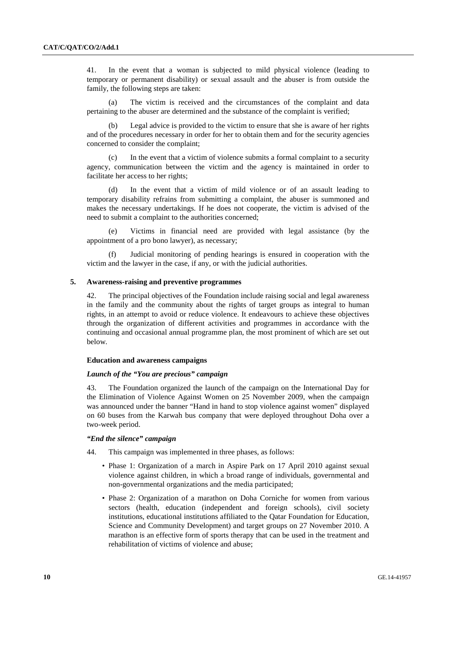41. In the event that a woman is subjected to mild physical violence (leading to temporary or permanent disability) or sexual assault and the abuser is from outside the family, the following steps are taken:

 (a) The victim is received and the circumstances of the complaint and data pertaining to the abuser are determined and the substance of the complaint is verified;

 (b) Legal advice is provided to the victim to ensure that she is aware of her rights and of the procedures necessary in order for her to obtain them and for the security agencies concerned to consider the complaint;

 (c) In the event that a victim of violence submits a formal complaint to a security agency, communication between the victim and the agency is maintained in order to facilitate her access to her rights;

 (d) In the event that a victim of mild violence or of an assault leading to temporary disability refrains from submitting a complaint, the abuser is summoned and makes the necessary undertakings. If he does not cooperate, the victim is advised of the need to submit a complaint to the authorities concerned;

 (e) Victims in financial need are provided with legal assistance (by the appointment of a pro bono lawyer), as necessary;

Judicial monitoring of pending hearings is ensured in cooperation with the victim and the lawyer in the case, if any, or with the judicial authorities.

#### **5. Awareness-raising and preventive programmes**

42. The principal objectives of the Foundation include raising social and legal awareness in the family and the community about the rights of target groups as integral to human rights, in an attempt to avoid or reduce violence. It endeavours to achieve these objectives through the organization of different activities and programmes in accordance with the continuing and occasional annual programme plan, the most prominent of which are set out below.

#### **Education and awareness campaigns**

#### *Launch of the "You are precious" campaign*

43. The Foundation organized the launch of the campaign on the International Day for the Elimination of Violence Against Women on 25 November 2009, when the campaign was announced under the banner "Hand in hand to stop violence against women" displayed on 60 buses from the Karwah bus company that were deployed throughout Doha over a two-week period.

#### *"End the silence" campaign*

44. This campaign was implemented in three phases, as follows:

- Phase 1: Organization of a march in Aspire Park on 17 April 2010 against sexual violence against children, in which a broad range of individuals, governmental and non-governmental organizations and the media participated;
- Phase 2: Organization of a marathon on Doha Corniche for women from various sectors (health, education (independent and foreign schools), civil society institutions, educational institutions affiliated to the Qatar Foundation for Education, Science and Community Development) and target groups on 27 November 2010. A marathon is an effective form of sports therapy that can be used in the treatment and rehabilitation of victims of violence and abuse;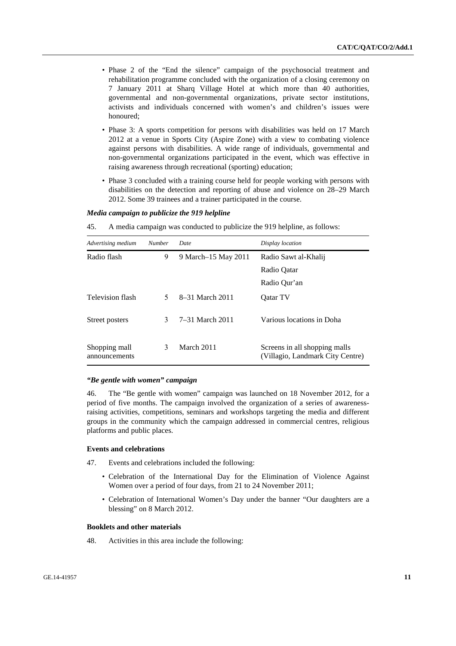- Phase 2 of the "End the silence" campaign of the psychosocial treatment and rehabilitation programme concluded with the organization of a closing ceremony on 7 January 2011 at Sharq Village Hotel at which more than 40 authorities, governmental and non-governmental organizations, private sector institutions, activists and individuals concerned with women's and children's issues were honoured;
- Phase 3: A sports competition for persons with disabilities was held on 17 March 2012 at a venue in Sports City (Aspire Zone) with a view to combating violence against persons with disabilities. A wide range of individuals, governmental and non-governmental organizations participated in the event, which was effective in raising awareness through recreational (sporting) education;
- Phase 3 concluded with a training course held for people working with persons with disabilities on the detection and reporting of abuse and violence on 28–29 March 2012. Some 39 trainees and a trainer participated in the course.

#### *Media campaign to publicize the 919 helpline*

45. A media campaign was conducted to publicize the 919 helpline, as follows:

| Advertising medium             | <b>Number</b> | Date                | Display location                                                  |  |  |  |
|--------------------------------|---------------|---------------------|-------------------------------------------------------------------|--|--|--|
| Radio flash                    | 9             | 9 March–15 May 2011 | Radio Sawt al-Khalii                                              |  |  |  |
|                                |               |                     | Radio Oatar                                                       |  |  |  |
|                                |               |                     | Radio Qur'an                                                      |  |  |  |
| Television flash               | 5.            | 8–31 March 2011     | <b>Oatar TV</b>                                                   |  |  |  |
| Street posters                 | 3             | 7–31 March 2011     | Various locations in Doha                                         |  |  |  |
| Shopping mall<br>announcements | 3             | March 2011          | Screens in all shopping malls<br>(Villagio, Landmark City Centre) |  |  |  |

#### *"Be gentle with women" campaign*

46. The "Be gentle with women" campaign was launched on 18 November 2012, for a period of five months. The campaign involved the organization of a series of awarenessraising activities, competitions, seminars and workshops targeting the media and different groups in the community which the campaign addressed in commercial centres, religious platforms and public places.

#### **Events and celebrations**

- 47. Events and celebrations included the following:
	- Celebration of the International Day for the Elimination of Violence Against Women over a period of four days, from 21 to 24 November 2011;
	- Celebration of International Women's Day under the banner "Our daughters are a blessing" on 8 March 2012.

#### **Booklets and other materials**

48. Activities in this area include the following: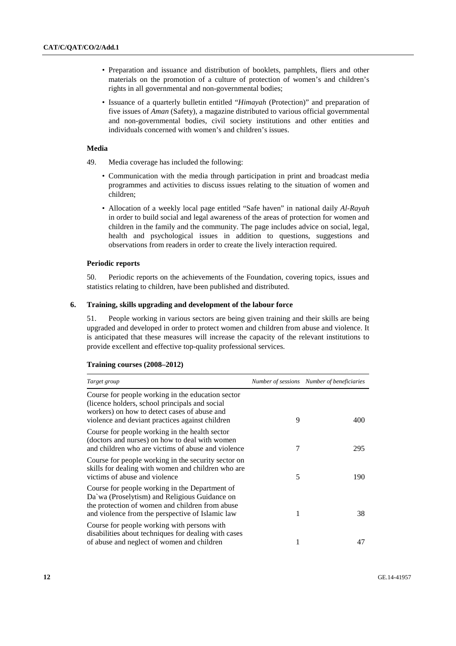- Preparation and issuance and distribution of booklets, pamphlets, fliers and other materials on the promotion of a culture of protection of women's and children's rights in all governmental and non-governmental bodies;
- Issuance of a quarterly bulletin entitled "*Himayah* (Protection)" and preparation of five issues of *Aman* (Safety), a magazine distributed to various official governmental and non-governmental bodies, civil society institutions and other entities and individuals concerned with women's and children's issues.

#### **Media**

- 49. Media coverage has included the following:
	- Communication with the media through participation in print and broadcast media programmes and activities to discuss issues relating to the situation of women and children;
	- Allocation of a weekly local page entitled "Safe haven" in national daily *Al-Rayah* in order to build social and legal awareness of the areas of protection for women and children in the family and the community. The page includes advice on social, legal, health and psychological issues in addition to questions, suggestions and observations from readers in order to create the lively interaction required.

#### **Periodic reports**

50. Periodic reports on the achievements of the Foundation, covering topics, issues and statistics relating to children, have been published and distributed.

#### **6. Training, skills upgrading and development of the labour force**

51. People working in various sectors are being given training and their skills are being upgraded and developed in order to protect women and children from abuse and violence. It is anticipated that these measures will increase the capacity of the relevant institutions to provide excellent and effective top-quality professional services.

| Target group                                                                                                                                                                                            |   | Number of sessions Number of beneficiaries |
|---------------------------------------------------------------------------------------------------------------------------------------------------------------------------------------------------------|---|--------------------------------------------|
| Course for people working in the education sector<br>(licence holders, school principals and social)<br>workers) on how to detect cases of abuse and<br>violence and deviant practices against children | 9 | 400                                        |
| Course for people working in the health sector<br>(doctors and nurses) on how to deal with women<br>and children who are victims of abuse and violence                                                  | 7 | 295                                        |
| Course for people working in the security sector on<br>skills for dealing with women and children who are<br>victims of abuse and violence                                                              | 5 | 190                                        |
| Course for people working in the Department of<br>Da'wa (Proselytism) and Religious Guidance on<br>the protection of women and children from abuse<br>and violence from the perspective of Islamic law  | 1 | 38                                         |
| Course for people working with persons with<br>disabilities about techniques for dealing with cases<br>of abuse and neglect of women and children                                                       | 1 | 47                                         |

#### **Training courses (2008–2012)**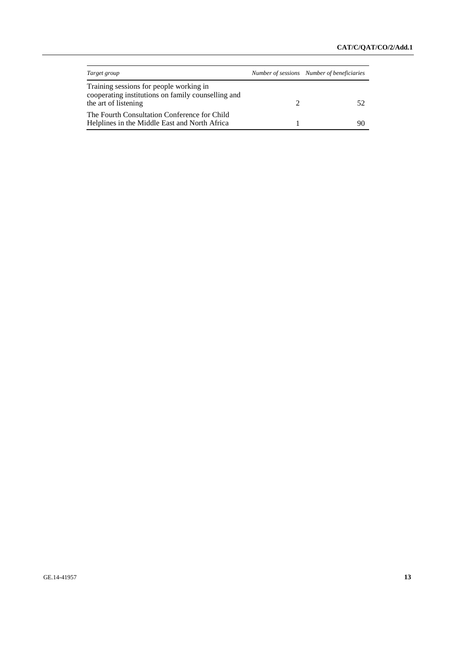| Target group                                                                                                          | Number of sessions Number of beneficiaries |  |
|-----------------------------------------------------------------------------------------------------------------------|--------------------------------------------|--|
| Training sessions for people working in<br>cooperating institutions on family counselling and<br>the art of listening |                                            |  |
| The Fourth Consultation Conference for Child<br>Helplines in the Middle East and North Africa                         | 90                                         |  |